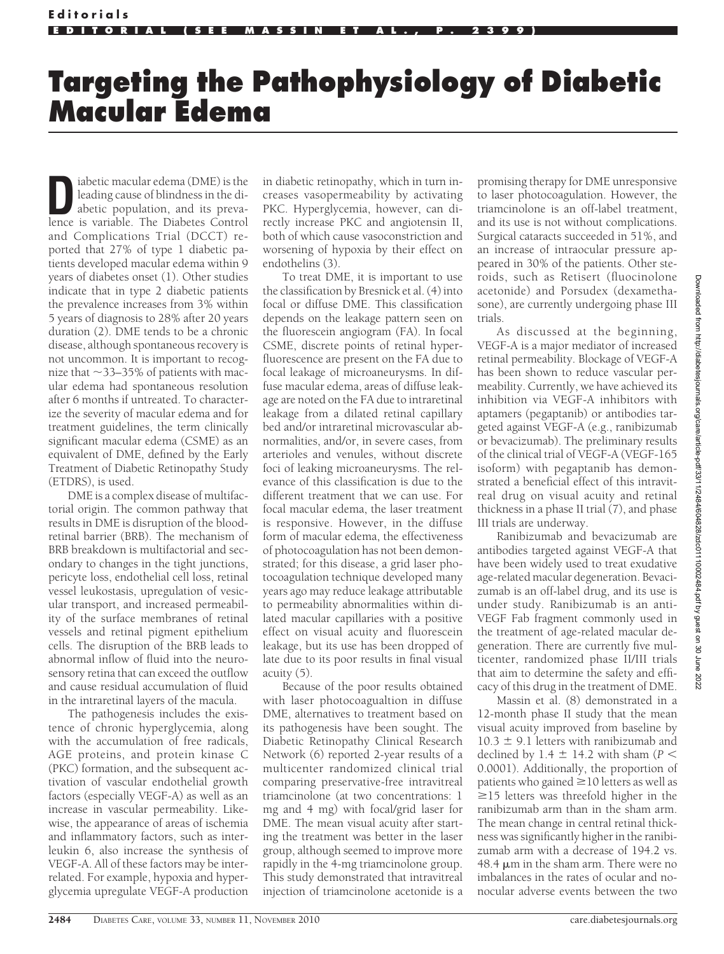## **Targeting the Pathophysiology of Diabetic Macular Edema**

iabetic macular edema (DME) is the<br>leading cause of blindness in the di-<br>abetic population, and its preva-<br>lence is variable. The Diabetes Control leading cause of blindness in the diabetic population, and its prevalence is variable. The Diabetes Control and Complications Trial (DCCT) reported that 27% of type 1 diabetic patients developed macular edema within 9 years of diabetes onset (1). Other studies indicate that in type 2 diabetic patients the prevalence increases from 3% within 5 years of diagnosis to 28% after 20 years duration (2). DME tends to be a chronic disease, although spontaneous recovery is not uncommon. It is important to recognize that  $\sim$ 33–35% of patients with macular edema had spontaneous resolution after 6 months if untreated. To characterize the severity of macular edema and for treatment guidelines, the term clinically significant macular edema (CSME) as an equivalent of DME, defined by the Early Treatment of Diabetic Retinopathy Study (ETDRS), is used.

DME is a complex disease of multifactorial origin. The common pathway that results in DME is disruption of the bloodretinal barrier (BRB). The mechanism of BRB breakdown is multifactorial and secondary to changes in the tight junctions, pericyte loss, endothelial cell loss, retinal vessel leukostasis, upregulation of vesicular transport, and increased permeability of the surface membranes of retinal vessels and retinal pigment epithelium cells. The disruption of the BRB leads to abnormal inflow of fluid into the neurosensory retina that can exceed the outflow and cause residual accumulation of fluid in the intraretinal layers of the macula.

The pathogenesis includes the existence of chronic hyperglycemia, along with the accumulation of free radicals, AGE proteins, and protein kinase C (PKC) formation, and the subsequent activation of vascular endothelial growth factors (especially VEGF-A) as well as an increase in vascular permeability. Likewise, the appearance of areas of ischemia and inflammatory factors, such as interleukin 6, also increase the synthesis of VEGF-A. All of these factors may be interrelated. For example, hypoxia and hyperglycemia upregulate VEGF-A production

in diabetic retinopathy, which in turn increases vasopermeability by activating PKC. Hyperglycemia, however, can directly increase PKC and angiotensin II, both of which cause vasoconstriction and worsening of hypoxia by their effect on endothelins (3).

To treat DME, it is important to use the classification by Bresnick et al. (4) into focal or diffuse DME. This classification depends on the leakage pattern seen on the fluorescein angiogram (FA). In focal CSME, discrete points of retinal hyperfluorescence are present on the FA due to focal leakage of microaneurysms. In diffuse macular edema, areas of diffuse leakage are noted on the FA due to intraretinal leakage from a dilated retinal capillary bed and/or intraretinal microvascular abnormalities, and/or, in severe cases, from arterioles and venules, without discrete foci of leaking microaneurysms. The relevance of this classification is due to the different treatment that we can use. For focal macular edema, the laser treatment is responsive. However, in the diffuse form of macular edema, the effectiveness of photocoagulation has not been demonstrated; for this disease, a grid laser photocoagulation technique developed many years ago may reduce leakage attributable to permeability abnormalities within dilated macular capillaries with a positive effect on visual acuity and fluorescein leakage, but its use has been dropped of late due to its poor results in final visual acuity (5).

Because of the poor results obtained with laser photocoagualtion in diffuse DME, alternatives to treatment based on its pathogenesis have been sought. The Diabetic Retinopathy Clinical Research Network (6) reported 2-year results of a multicenter randomized clinical trial comparing preservative-free intravitreal triamcinolone (at two concentrations: 1 mg and 4 mg) with focal/grid laser for DME. The mean visual acuity after starting the treatment was better in the laser group, although seemed to improve more rapidly in the 4-mg triamcinolone group. This study demonstrated that intravitreal injection of triamcinolone acetonide is a

promising therapy for DME unresponsive to laser photocoagulation. However, the triamcinolone is an off-label treatment, and its use is not without complications. Surgical cataracts succeeded in 51%, and an increase of intraocular pressure appeared in 30% of the patients. Other steroids, such as Retisert (fluocinolone acetonide) and Porsudex (dexamethasone), are currently undergoing phase III trials.

As discussed at the beginning, VEGF-A is a major mediator of increased retinal permeability. Blockage of VEGF-A has been shown to reduce vascular permeability. Currently, we have achieved its inhibition via VEGF-A inhibitors with aptamers (pegaptanib) or antibodies targeted against VEGF-A (e.g., ranibizumab or bevacizumab). The preliminary results of the clinical trial of VEGF-A (VEGF-165 isoform) with pegaptanib has demonstrated a beneficial effect of this intravitreal drug on visual acuity and retinal thickness in a phase II trial (7), and phase III trials are underway.

Ranibizumab and bevacizumab are antibodies targeted against VEGF-A that have been widely used to treat exudative age-related macular degeneration. Bevacizumab is an off-label drug, and its use is under study. Ranibizumab is an anti-VEGF Fab fragment commonly used in the treatment of age-related macular degeneration. There are currently five multicenter, randomized phase II/III trials that aim to determine the safety and efficacy of this drug in the treatment of DME.

Massin et al. (8) demonstrated in a 12-month phase II study that the mean visual acuity improved from baseline by  $10.3 \pm 9.1$  letters with ranibizumab and declined by  $1.4 \pm 14.2$  with sham ( $P <$ 0.0001). Additionally, the proportion of patients who gained  $\geq$  10 letters as well as  $\geq$ 15 letters was threefold higher in the ranibizumab arm than in the sham arm. The mean change in central retinal thickness was significantly higher in the ranibizumab arm with a decrease of 194.2 vs.  $48.4 \mu m$  in the sham arm. There were no imbalances in the rates of ocular and nonocular adverse events between the two